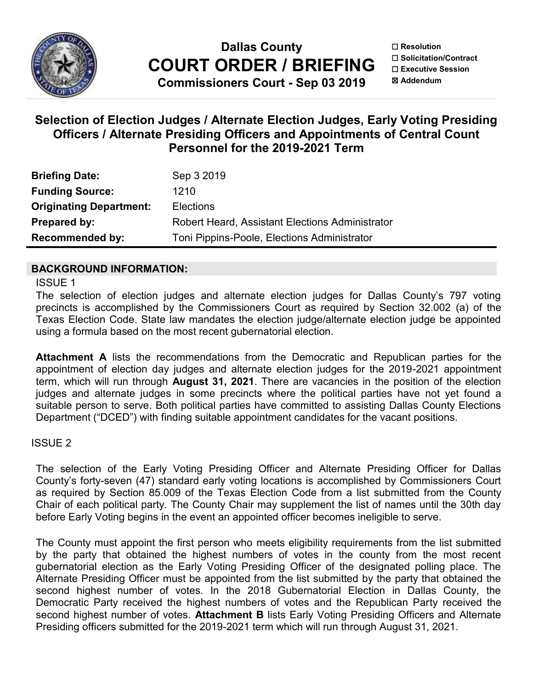

**Dallas County COURT ORDER / BRIEFING**

**Commissioners Court - Sep 03 2019**

☐ **Resolution** ☐ **Solicitation/Contract** ☐ **Executive Session** ☒ **Addendum**

# **Selection of Election Judges / Alternate Election Judges, Early Voting Presiding Officers / Alternate Presiding Officers and Appointments of Central Count Personnel for the 2019-2021 Term**

| <b>Briefing Date:</b>          | Sep 3 2019                                      |
|--------------------------------|-------------------------------------------------|
| <b>Funding Source:</b>         | 1210                                            |
| <b>Originating Department:</b> | <b>Elections</b>                                |
| Prepared by:                   | Robert Heard, Assistant Elections Administrator |
| <b>Recommended by:</b>         | Toni Pippins-Poole, Elections Administrator     |

# **BACKGROUND INFORMATION:**

ISSUE 1

The selection of election judges and alternate election judges for Dallas County's 797 voting precincts is accomplished by the Commissioners Court as required by Section 32.002 (a) of the Texas Election Code. State law mandates the election judge/alternate election judge be appointed using a formula based on the most recent gubernatorial election.

**Attachment A** lists the recommendations from the Democratic and Republican parties for the appointment of election day judges and alternate election judges for the 2019-2021 appointment term, which will run through **August 31, 2021**. There are vacancies in the position of the election judges and alternate judges in some precincts where the political parties have not yet found a suitable person to serve. Both political parties have committed to assisting Dallas County Elections Department ("DCED") with finding suitable appointment candidates for the vacant positions.

# ISSUE 2

The selection of the Early Voting Presiding Officer and Alternate Presiding Officer for Dallas County's forty-seven (47) standard early voting locations is accomplished by Commissioners Court as required by Section 85.009 of the Texas Election Code from a list submitted from the County Chair of each political party. The County Chair may supplement the list of names until the 30th day before Early Voting begins in the event an appointed officer becomes ineligible to serve.

The County must appoint the first person who meets eligibility requirements from the list submitted by the party that obtained the highest numbers of votes in the county from the most recent gubernatorial election as the Early Voting Presiding Officer of the designated polling place. The Alternate Presiding Officer must be appointed from the list submitted by the party that obtained the second highest number of votes. In the 2018 Gubernatorial Election in Dallas County, the Democratic Party received the highest numbers of votes and the Republican Party received the second highest number of votes. **Attachment B** lists Early Voting Presiding Officers and Alternate Presiding officers submitted for the 2019-2021 term which will run through August 31, 2021.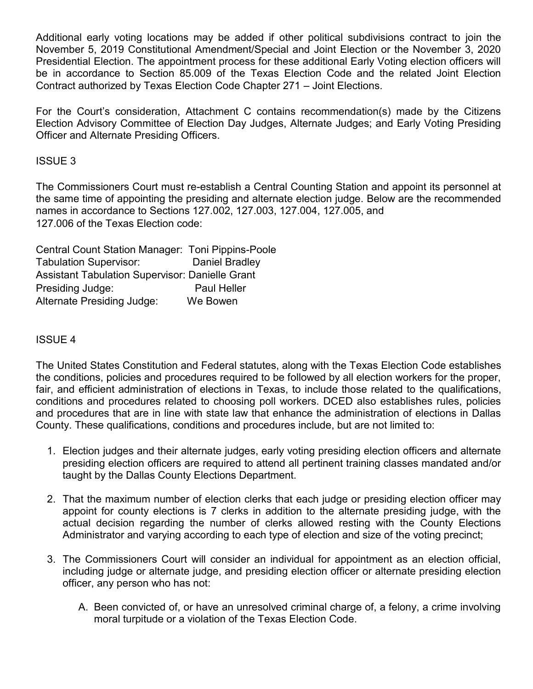Additional early voting locations may be added if other political subdivisions contract to join the November 5, 2019 Constitutional Amendment/Special and Joint Election or the November 3, 2020 Presidential Election. The appointment process for these additional Early Voting election officers will be in accordance to Section 85.009 of the Texas Election Code and the related Joint Election Contract authorized by Texas Election Code Chapter 271 – Joint Elections.

For the Court's consideration, Attachment C contains recommendation(s) made by the Citizens Election Advisory Committee of Election Day Judges, Alternate Judges; and Early Voting Presiding Officer and Alternate Presiding Officers.

## ISSUE 3

The Commissioners Court must re-establish a Central Counting Station and appoint its personnel at the same time of appointing the presiding and alternate election judge. Below are the recommended names in accordance to Sections 127.002, 127.003, 127.004, 127.005, and 127.006 of the Texas Election code:

Central Count Station Manager: Toni Pippins-Poole Tabulation Supervisor: Daniel Bradley Assistant Tabulation Supervisor: Danielle Grant Presiding Judge: Paul Heller Alternate Presiding Judge: We Bowen

# ISSUE 4

The United States Constitution and Federal statutes, along with the Texas Election Code establishes the conditions, policies and procedures required to be followed by all election workers for the proper, fair, and efficient administration of elections in Texas, to include those related to the qualifications, conditions and procedures related to choosing poll workers. DCED also establishes rules, policies and procedures that are in line with state law that enhance the administration of elections in Dallas County. These qualifications, conditions and procedures include, but are not limited to:

- 1. Election judges and their alternate judges, early voting presiding election officers and alternate presiding election officers are required to attend all pertinent training classes mandated and/or taught by the Dallas County Elections Department.
- 2. That the maximum number of election clerks that each judge or presiding election officer may appoint for county elections is 7 clerks in addition to the alternate presiding judge, with the actual decision regarding the number of clerks allowed resting with the County Elections Administrator and varying according to each type of election and size of the voting precinct;
- 3. The Commissioners Court will consider an individual for appointment as an election official, including judge or alternate judge, and presiding election officer or alternate presiding election officer, any person who has not:
	- A. Been convicted of, or have an unresolved criminal charge of, a felony, a crime involving moral turpitude or a violation of the Texas Election Code.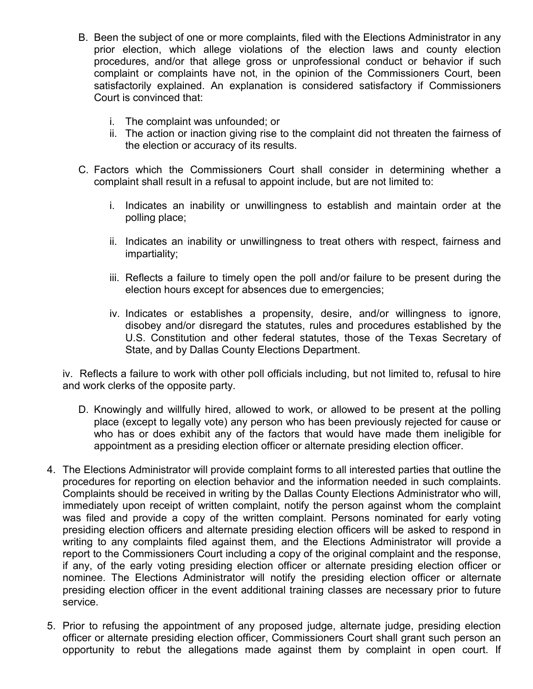- B. Been the subject of one or more complaints, filed with the Elections Administrator in any prior election, which allege violations of the election laws and county election procedures, and/or that allege gross or unprofessional conduct or behavior if such complaint or complaints have not, in the opinion of the Commissioners Court, been satisfactorily explained. An explanation is considered satisfactory if Commissioners Court is convinced that:
	- i. The complaint was unfounded; or
	- ii. The action or inaction giving rise to the complaint did not threaten the fairness of the election or accuracy of its results.
- C. Factors which the Commissioners Court shall consider in determining whether a complaint shall result in a refusal to appoint include, but are not limited to:
	- i. Indicates an inability or unwillingness to establish and maintain order at the polling place;
	- ii. Indicates an inability or unwillingness to treat others with respect, fairness and impartiality;
	- iii. Reflects a failure to timely open the poll and/or failure to be present during the election hours except for absences due to emergencies;
	- iv. Indicates or establishes a propensity, desire, and/or willingness to ignore, disobey and/or disregard the statutes, rules and procedures established by the U.S. Constitution and other federal statutes, those of the Texas Secretary of State, and by Dallas County Elections Department.

iv. Reflects a failure to work with other poll officials including, but not limited to, refusal to hire and work clerks of the opposite party.

- D. Knowingly and willfully hired, allowed to work, or allowed to be present at the polling place (except to legally vote) any person who has been previously rejected for cause or who has or does exhibit any of the factors that would have made them ineligible for appointment as a presiding election officer or alternate presiding election officer.
- 4. The Elections Administrator will provide complaint forms to all interested parties that outline the procedures for reporting on election behavior and the information needed in such complaints. Complaints should be received in writing by the Dallas County Elections Administrator who will, immediately upon receipt of written complaint, notify the person against whom the complaint was filed and provide a copy of the written complaint. Persons nominated for early voting presiding election officers and alternate presiding election officers will be asked to respond in writing to any complaints filed against them, and the Elections Administrator will provide a report to the Commissioners Court including a copy of the original complaint and the response, if any, of the early voting presiding election officer or alternate presiding election officer or nominee. The Elections Administrator will notify the presiding election officer or alternate presiding election officer in the event additional training classes are necessary prior to future service.
- 5. Prior to refusing the appointment of any proposed judge, alternate judge, presiding election officer or alternate presiding election officer, Commissioners Court shall grant such person an opportunity to rebut the allegations made against them by complaint in open court. If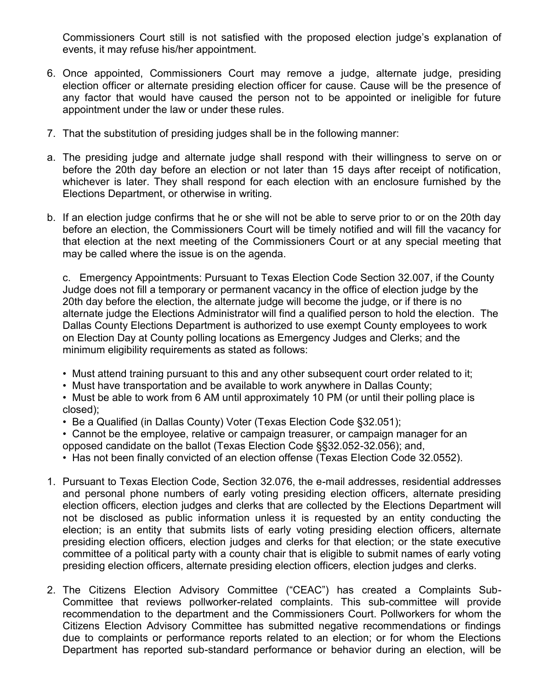Commissioners Court still is not satisfied with the proposed election judge's explanation of events, it may refuse his/her appointment.

- 6. Once appointed, Commissioners Court may remove a judge, alternate judge, presiding election officer or alternate presiding election officer for cause. Cause will be the presence of any factor that would have caused the person not to be appointed or ineligible for future appointment under the law or under these rules.
- 7. That the substitution of presiding judges shall be in the following manner:
- a. The presiding judge and alternate judge shall respond with their willingness to serve on or before the 20th day before an election or not later than 15 days after receipt of notification, whichever is later. They shall respond for each election with an enclosure furnished by the Elections Department, or otherwise in writing.
- b. If an election judge confirms that he or she will not be able to serve prior to or on the 20th day before an election, the Commissioners Court will be timely notified and will fill the vacancy for that election at the next meeting of the Commissioners Court or at any special meeting that may be called where the issue is on the agenda.

c. Emergency Appointments: Pursuant to Texas Election Code Section 32.007, if the County Judge does not fill a temporary or permanent vacancy in the office of election judge by the 20th day before the election, the alternate judge will become the judge, or if there is no alternate judge the Elections Administrator will find a qualified person to hold the election. The Dallas County Elections Department is authorized to use exempt County employees to work on Election Day at County polling locations as Emergency Judges and Clerks; and the minimum eligibility requirements as stated as follows:

- Must attend training pursuant to this and any other subsequent court order related to it;
- Must have transportation and be available to work anywhere in Dallas County;
- Must be able to work from 6 AM until approximately 10 PM (or until their polling place is closed);
- Be a Qualified (in Dallas County) Voter (Texas Election Code §32.051);
- Cannot be the employee, relative or campaign treasurer, or campaign manager for an opposed candidate on the ballot (Texas Election Code §§32.052-32.056); and,
- Has not been finally convicted of an election offense (Texas Election Code 32.0552).
- 1. Pursuant to Texas Election Code, Section 32.076, the e-mail addresses, residential addresses and personal phone numbers of early voting presiding election officers, alternate presiding election officers, election judges and clerks that are collected by the Elections Department will not be disclosed as public information unless it is requested by an entity conducting the election; is an entity that submits lists of early voting presiding election officers, alternate presiding election officers, election judges and clerks for that election; or the state executive committee of a political party with a county chair that is eligible to submit names of early voting presiding election officers, alternate presiding election officers, election judges and clerks.
- 2. The Citizens Election Advisory Committee ("CEAC") has created a Complaints Sub-Committee that reviews pollworker-related complaints. This sub-committee will provide recommendation to the department and the Commissioners Court. Pollworkers for whom the Citizens Election Advisory Committee has submitted negative recommendations or findings due to complaints or performance reports related to an election; or for whom the Elections Department has reported sub-standard performance or behavior during an election, will be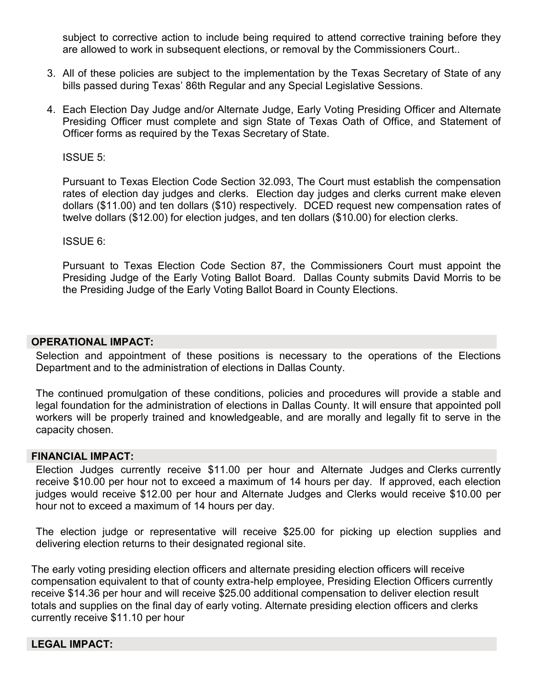subject to corrective action to include being required to attend corrective training before they are allowed to work in subsequent elections, or removal by the Commissioners Court..

- 3. All of these policies are subject to the implementation by the Texas Secretary of State of any bills passed during Texas' 86th Regular and any Special Legislative Sessions.
- 4. Each Election Day Judge and/or Alternate Judge, Early Voting Presiding Officer and Alternate Presiding Officer must complete and sign State of Texas Oath of Office, and Statement of Officer forms as required by the Texas Secretary of State.

ISSUE 5:

Pursuant to Texas Election Code Section 32.093, The Court must establish the compensation rates of election day judges and clerks. Election day judges and clerks current make eleven dollars (\$11.00) and ten dollars (\$10) respectively. DCED request new compensation rates of twelve dollars (\$12.00) for election judges, and ten dollars (\$10.00) for election clerks.

ISSUE 6:

Pursuant to Texas Election Code Section 87, the Commissioners Court must appoint the Presiding Judge of the Early Voting Ballot Board. Dallas County submits David Morris to be the Presiding Judge of the Early Voting Ballot Board in County Elections.

#### **OPERATIONAL IMPACT:**

Selection and appointment of these positions is necessary to the operations of the Elections Department and to the administration of elections in Dallas County.

The continued promulgation of these conditions, policies and procedures will provide a stable and legal foundation for the administration of elections in Dallas County. It will ensure that appointed poll workers will be properly trained and knowledgeable, and are morally and legally fit to serve in the capacity chosen.

#### **FINANCIAL IMPACT:**

Election Judges currently receive \$11.00 per hour and Alternate Judges and Clerks currently receive \$10.00 per hour not to exceed a maximum of 14 hours per day. If approved, each election judges would receive \$12.00 per hour and Alternate Judges and Clerks would receive \$10.00 per hour not to exceed a maximum of 14 hours per day.

The election judge or representative will receive \$25.00 for picking up election supplies and delivering election returns to their designated regional site.

The early voting presiding election officers and alternate presiding election officers will receive compensation equivalent to that of county extra-help employee, Presiding Election Officers currently receive \$14.36 per hour and will receive \$25.00 additional compensation to deliver election result totals and supplies on the final day of early voting. Alternate presiding election officers and clerks currently receive \$11.10 per hour

#### **LEGAL IMPACT:**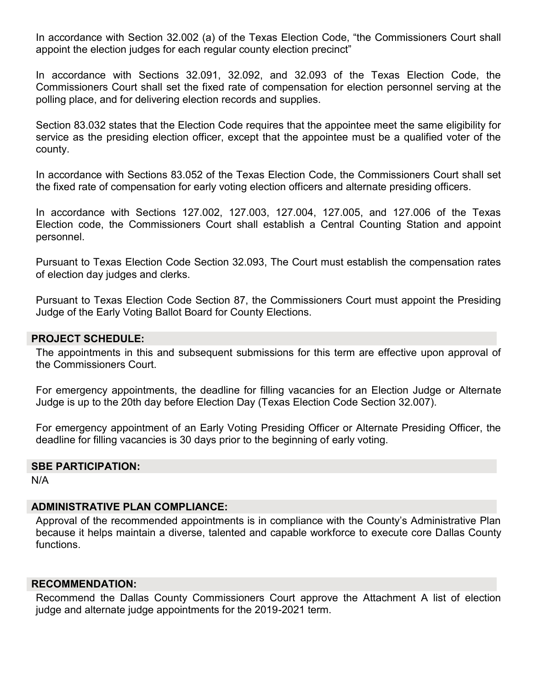In accordance with Section 32.002 (a) of the Texas Election Code, "the Commissioners Court shall appoint the election judges for each regular county election precinct"

In accordance with Sections 32.091, 32.092, and 32.093 of the Texas Election Code, the Commissioners Court shall set the fixed rate of compensation for election personnel serving at the polling place, and for delivering election records and supplies.

Section 83.032 states that the Election Code requires that the appointee meet the same eligibility for service as the presiding election officer, except that the appointee must be a qualified voter of the county.

In accordance with Sections 83.052 of the Texas Election Code, the Commissioners Court shall set the fixed rate of compensation for early voting election officers and alternate presiding officers.

In accordance with Sections 127.002, 127.003, 127.004, 127.005, and 127.006 of the Texas Election code, the Commissioners Court shall establish a Central Counting Station and appoint personnel.

Pursuant to Texas Election Code Section 32.093, The Court must establish the compensation rates of election day judges and clerks.

Pursuant to Texas Election Code Section 87, the Commissioners Court must appoint the Presiding Judge of the Early Voting Ballot Board for County Elections.

### **PROJECT SCHEDULE:**

The appointments in this and subsequent submissions for this term are effective upon approval of the Commissioners Court.

For emergency appointments, the deadline for filling vacancies for an Election Judge or Alternate Judge is up to the 20th day before Election Day (Texas Election Code Section 32.007).

For emergency appointment of an Early Voting Presiding Officer or Alternate Presiding Officer, the deadline for filling vacancies is 30 days prior to the beginning of early voting.

# **SBE PARTICIPATION:**

N/A

### **ADMINISTRATIVE PLAN COMPLIANCE:**

Approval of the recommended appointments is in compliance with the County's Administrative Plan because it helps maintain a diverse, talented and capable workforce to execute core Dallas County functions.

#### **RECOMMENDATION:**

Recommend the Dallas County Commissioners Court approve the Attachment A list of election judge and alternate judge appointments for the 2019-2021 term.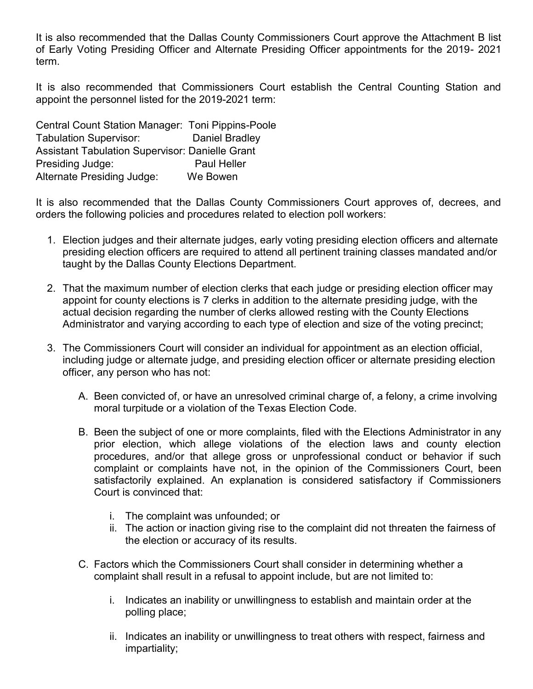It is also recommended that the Dallas County Commissioners Court approve the Attachment B list of Early Voting Presiding Officer and Alternate Presiding Officer appointments for the 2019- 2021 term.

It is also recommended that Commissioners Court establish the Central Counting Station and appoint the personnel listed for the 2019-2021 term:

Central Count Station Manager: Toni Pippins-Poole Tabulation Supervisor: Daniel Bradley Assistant Tabulation Supervisor: Danielle Grant Presiding Judge: Presiding Judge: Alternate Presiding Judge: We Bowen

It is also recommended that the Dallas County Commissioners Court approves of, decrees, and orders the following policies and procedures related to election poll workers:

- 1. Election judges and their alternate judges, early voting presiding election officers and alternate presiding election officers are required to attend all pertinent training classes mandated and/or taught by the Dallas County Elections Department.
- 2. That the maximum number of election clerks that each judge or presiding election officer may appoint for county elections is 7 clerks in addition to the alternate presiding judge, with the actual decision regarding the number of clerks allowed resting with the County Elections Administrator and varying according to each type of election and size of the voting precinct;
- 3. The Commissioners Court will consider an individual for appointment as an election official, including judge or alternate judge, and presiding election officer or alternate presiding election officer, any person who has not:
	- A. Been convicted of, or have an unresolved criminal charge of, a felony, a crime involving moral turpitude or a violation of the Texas Election Code.
	- B. Been the subject of one or more complaints, filed with the Elections Administrator in any prior election, which allege violations of the election laws and county election procedures, and/or that allege gross or unprofessional conduct or behavior if such complaint or complaints have not, in the opinion of the Commissioners Court, been satisfactorily explained. An explanation is considered satisfactory if Commissioners Court is convinced that:
		- i. The complaint was unfounded; or
		- ii. The action or inaction giving rise to the complaint did not threaten the fairness of the election or accuracy of its results.
	- C. Factors which the Commissioners Court shall consider in determining whether a complaint shall result in a refusal to appoint include, but are not limited to:
		- i. Indicates an inability or unwillingness to establish and maintain order at the polling place;
		- ii. Indicates an inability or unwillingness to treat others with respect, fairness and impartiality;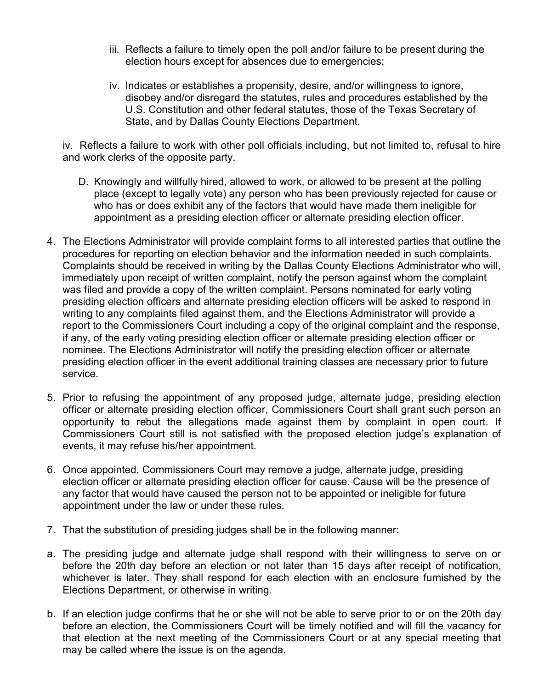- iii. Reflects a failure to timely open the poll and/or failure to be present during the election hours except for absences due to emergencies;
- iv. Indicates or establishes a propensity, desire, and/or willingness to ignore, disobey and/or disregard the statutes, rules and procedures established by the U.S. Constitution and other federal statutes, those of the Texas Secretary of State, and by Dallas County Elections Department.

iv. Reflects a failure to work with other poll officials including, but not limited to, refusal to hire and work clerks of the opposite party.

- D. Knowingly and willfully hired, allowed to work, or allowed to be present at the polling place (except to legally vote) any person who has been previously rejected for cause or who has or does exhibit any of the factors that would have made them ineligible for appointment as a presiding election officer or alternate presiding election officer.
- 4. The Elections Administrator will provide complaint forms to all interested parties that outline the procedures for reporting on election behavior and the information needed in such complaints. Complaints should be received in writing by the Dallas County Elections Administrator who will, immediately upon receipt of written complaint, notify the person against whom the complaint was filed and provide a copy of the written complaint. Persons nominated for early voting presiding election officers and alternate presiding election officers will be asked to respond in writing to any complaints filed against them, and the Elections Administrator will provide a report to the Commissioners Court including a copy of the original complaint and the response, if any, of the early voting presiding election officer or alternate presiding election officer or nominee. The Elections Administrator will notify the presiding election officer or alternate presiding election officer in the event additional training classes are necessary prior to future service.
- 5. Prior to refusing the appointment of any proposed judge, alternate judge, presiding election officer or alternate presiding election officer, Commissioners Court shall grant such person an opportunity to rebut the allegations made against them by complaint in open court. If Commissioners Court still is not satisfied with the proposed election judge's explanation of events, it may refuse his/her appointment.
- 6. Once appointed, Commissioners Court may remove a judge, alternate judge, presiding election officer or alternate presiding election officer for cause. Cause will be the presence of any factor that would have caused the person not to be appointed or ineligible for future appointment under the law or under these rules.
- 7. That the substitution of presiding judges shall be in the following manner:
- a. The presiding judge and alternate judge shall respond with their willingness to serve on or before the 20th day before an election or not later than 15 days after receipt of notification, whichever is later. They shall respond for each election with an enclosure furnished by the Elections Department, or otherwise in writing.
- b. If an election judge confirms that he or she will not be able to serve prior to or on the 20th day before an election, the Commissioners Court will be timely notified and will fill the vacancy for that election at the next meeting of the Commissioners Court or at any special meeting that may be called where the issue is on the agenda.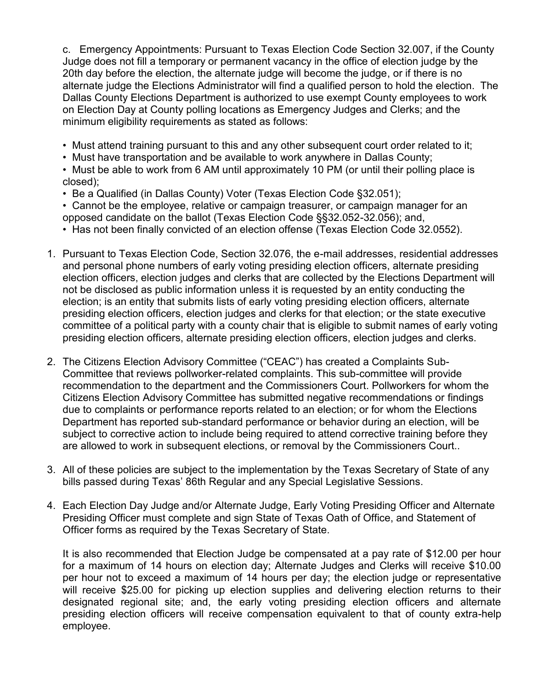c. Emergency Appointments: Pursuant to Texas Election Code Section 32.007, if the County Judge does not fill a temporary or permanent vacancy in the office of election judge by the 20th day before the election, the alternate judge will become the judge, or if there is no alternate judge the Elections Administrator will find a qualified person to hold the election. The Dallas County Elections Department is authorized to use exempt County employees to work on Election Day at County polling locations as Emergency Judges and Clerks; and the minimum eligibility requirements as stated as follows:

- Must attend training pursuant to this and any other subsequent court order related to it;
- Must have transportation and be available to work anywhere in Dallas County;
- Must be able to work from 6 AM until approximately 10 PM (or until their polling place is closed);
- Be a Qualified (in Dallas County) Voter (Texas Election Code §32.051);
- Cannot be the employee, relative or campaign treasurer, or campaign manager for an opposed candidate on the ballot (Texas Election Code §§32.052-32.056); and,
- Has not been finally convicted of an election offense (Texas Election Code 32.0552).
- 1. Pursuant to Texas Election Code, Section 32.076, the e-mail addresses, residential addresses and personal phone numbers of early voting presiding election officers, alternate presiding election officers, election judges and clerks that are collected by the Elections Department will not be disclosed as public information unless it is requested by an entity conducting the election; is an entity that submits lists of early voting presiding election officers, alternate presiding election officers, election judges and clerks for that election; or the state executive committee of a political party with a county chair that is eligible to submit names of early voting presiding election officers, alternate presiding election officers, election judges and clerks.
- 2. The Citizens Election Advisory Committee ("CEAC") has created a Complaints Sub-Committee that reviews pollworker-related complaints. This sub-committee will provide recommendation to the department and the Commissioners Court. Pollworkers for whom the Citizens Election Advisory Committee has submitted negative recommendations or findings due to complaints or performance reports related to an election; or for whom the Elections Department has reported sub-standard performance or behavior during an election, will be subject to corrective action to include being required to attend corrective training before they are allowed to work in subsequent elections, or removal by the Commissioners Court..
- 3. All of these policies are subject to the implementation by the Texas Secretary of State of any bills passed during Texas' 86th Regular and any Special Legislative Sessions.
- 4. Each Election Day Judge and/or Alternate Judge, Early Voting Presiding Officer and Alternate Presiding Officer must complete and sign State of Texas Oath of Office, and Statement of Officer forms as required by the Texas Secretary of State.

It is also recommended that Election Judge be compensated at a pay rate of \$12.00 per hour for a maximum of 14 hours on election day; Alternate Judges and Clerks will receive \$10.00 per hour not to exceed a maximum of 14 hours per day; the election judge or representative will receive \$25.00 for picking up election supplies and delivering election returns to their designated regional site; and, the early voting presiding election officers and alternate presiding election officers will receive compensation equivalent to that of county extra-help employee.